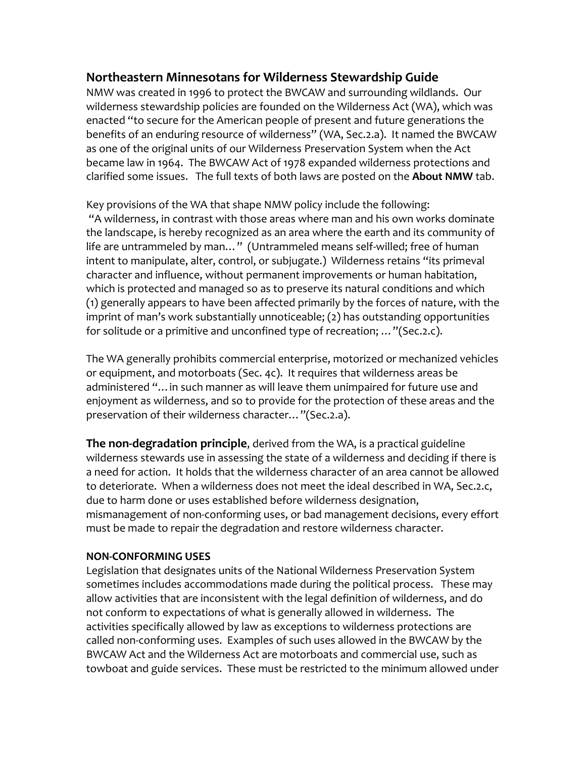# **Northeastern Minnesotans for Wilderness Stewardship Guide**

NMW was created in 1996 to protect the BWCAW and surrounding wildlands. Our wilderness stewardship policies are founded on the Wilderness Act (WA), which was enacted "to secure for the American people of present and future generations the benefits of an enduring resource of wilderness" (WA, Sec.2.a). It named the BWCAW as one of the original units of our Wilderness Preservation System when the Act became law in 1964. The BWCAW Act of 1978 expanded wilderness protections and clarified some issues. The full texts of both laws are posted on the **About NMW** tab.

Key provisions of the WA that shape NMW policy include the following: "A wilderness, in contrast with those areas where man and his own works dominate the landscape, is hereby recognized as an area where the earth and its community of life are untrammeled by man…" (Untrammeled means self-willed; free of human intent to manipulate, alter, control, or subjugate.) Wilderness retains "its primeval character and influence, without permanent improvements or human habitation, which is protected and managed so as to preserve its natural conditions and which (1) generally appears to have been affected primarily by the forces of nature, with the imprint of man's work substantially unnoticeable; (2) has outstanding opportunities for solitude or a primitive and unconfined type of recreation; …"(Sec.2.c).

The WA generally prohibits commercial enterprise, motorized or mechanized vehicles or equipment, and motorboats (Sec. 4c). It requires that wilderness areas be administered "…in such manner as will leave them unimpaired for future use and enjoyment as wilderness, and so to provide for the protection of these areas and the preservation of their wilderness character…"(Sec.2.a).

**The non-degradation principle**, derived from the WA, is a practical guideline wilderness stewards use in assessing the state of a wilderness and deciding if there is a need for action. It holds that the wilderness character of an area cannot be allowed to deteriorate. When a wilderness does not meet the ideal described in WA, Sec.2.c, due to harm done or uses established before wilderness designation, mismanagement of non-conforming uses, or bad management decisions, every effort must be made to repair the degradation and restore wilderness character.

#### **NON-CONFORMING USES**

Legislation that designates units of the National Wilderness Preservation System sometimes includes accommodations made during the political process. These may allow activities that are inconsistent with the legal definition of wilderness, and do not conform to expectations of what is generally allowed in wilderness. The activities specifically allowed by law as exceptions to wilderness protections are called non-conforming uses. Examples of such uses allowed in the BWCAW by the BWCAW Act and the Wilderness Act are motorboats and commercial use, such as towboat and guide services. These must be restricted to the minimum allowed under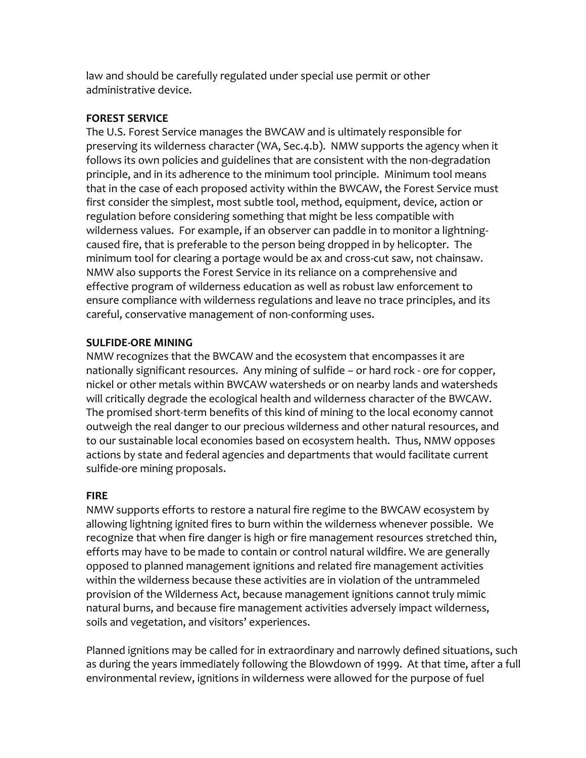law and should be carefully regulated under special use permit or other administrative device.

## **FOREST SERVICE**

The U.S. Forest Service manages the BWCAW and is ultimately responsible for preserving its wilderness character (WA, Sec.4.b). NMW supports the agency when it follows its own policies and guidelines that are consistent with the non-degradation principle, and in its adherence to the minimum tool principle. Minimum tool means that in the case of each proposed activity within the BWCAW, the Forest Service must first consider the simplest, most subtle tool, method, equipment, device, action or regulation before considering something that might be less compatible with wilderness values. For example, if an observer can paddle in to monitor a lightningcaused fire, that is preferable to the person being dropped in by helicopter. The minimum tool for clearing a portage would be ax and cross-cut saw, not chainsaw. NMW also supports the Forest Service in its reliance on a comprehensive and effective program of wilderness education as well as robust law enforcement to ensure compliance with wilderness regulations and leave no trace principles, and its careful, conservative management of non-conforming uses.

## **SULFIDE-ORE MINING**

NMW recognizes that the BWCAW and the ecosystem that encompasses it are nationally significant resources. Any mining of sulfide – or hard rock - ore for copper, nickel or other metals within BWCAW watersheds or on nearby lands and watersheds will critically degrade the ecological health and wilderness character of the BWCAW. The promised short-term benefits of this kind of mining to the local economy cannot outweigh the real danger to our precious wilderness and other natural resources, and to our sustainable local economies based on ecosystem health. Thus, NMW opposes actions by state and federal agencies and departments that would facilitate current sulfide-ore mining proposals.

### **FIRE**

NMW supports efforts to restore a natural fire regime to the BWCAW ecosystem by allowing lightning ignited fires to burn within the wilderness whenever possible. We recognize that when fire danger is high or fire management resources stretched thin, efforts may have to be made to contain or control natural wildfire. We are generally opposed to planned management ignitions and related fire management activities within the wilderness because these activities are in violation of the untrammeled provision of the Wilderness Act, because management ignitions cannot truly mimic natural burns, and because fire management activities adversely impact wilderness, soils and vegetation, and visitors' experiences.

Planned ignitions may be called for in extraordinary and narrowly defined situations, such as during the years immediately following the Blowdown of 1999. At that time, after a full environmental review, ignitions in wilderness were allowed for the purpose of fuel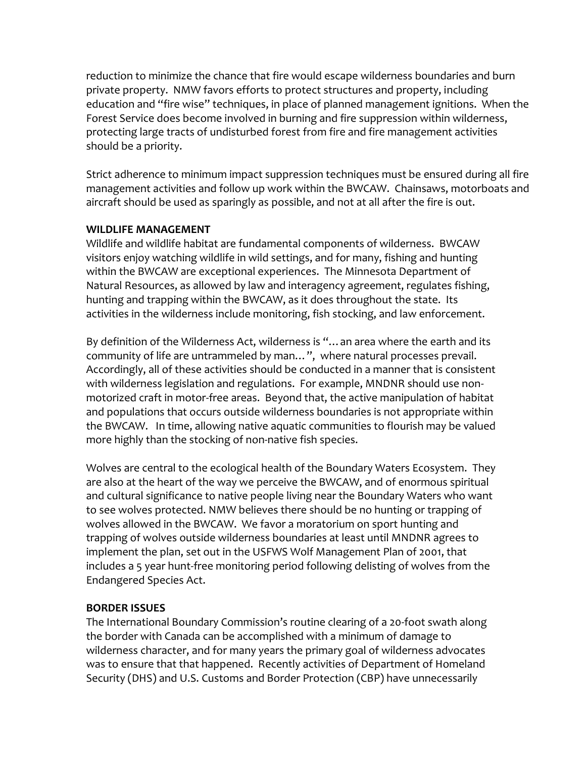reduction to minimize the chance that fire would escape wilderness boundaries and burn private property. NMW favors efforts to protect structures and property, including education and "fire wise" techniques, in place of planned management ignitions. When the Forest Service does become involved in burning and fire suppression within wilderness, protecting large tracts of undisturbed forest from fire and fire management activities should be a priority.

Strict adherence to minimum impact suppression techniques must be ensured during all fire management activities and follow up work within the BWCAW. Chainsaws, motorboats and aircraft should be used as sparingly as possible, and not at all after the fire is out.

### **WILDLIFE MANAGEMENT**

Wildlife and wildlife habitat are fundamental components of wilderness. BWCAW visitors enjoy watching wildlife in wild settings, and for many, fishing and hunting within the BWCAW are exceptional experiences. The Minnesota Department of Natural Resources, as allowed by law and interagency agreement, regulates fishing, hunting and trapping within the BWCAW, as it does throughout the state. Its activities in the wilderness include monitoring, fish stocking, and law enforcement.

By definition of the Wilderness Act, wilderness is "…an area where the earth and its community of life are untrammeled by man…", where natural processes prevail. Accordingly, all of these activities should be conducted in a manner that is consistent with wilderness legislation and regulations. For example, MNDNR should use nonmotorized craft in motor-free areas. Beyond that, the active manipulation of habitat and populations that occurs outside wilderness boundaries is not appropriate within the BWCAW. In time, allowing native aquatic communities to flourish may be valued more highly than the stocking of non-native fish species.

Wolves are central to the ecological health of the Boundary Waters Ecosystem. They are also at the heart of the way we perceive the BWCAW, and of enormous spiritual and cultural significance to native people living near the Boundary Waters who want to see wolves protected. NMW believes there should be no hunting or trapping of wolves allowed in the BWCAW. We favor a moratorium on sport hunting and trapping of wolves outside wilderness boundaries at least until MNDNR agrees to implement the plan, set out in the USFWS Wolf Management Plan of 2001, that includes a 5 year hunt-free monitoring period following delisting of wolves from the Endangered Species Act.

### **BORDER ISSUES**

The International Boundary Commission's routine clearing of a 20-foot swath along the border with Canada can be accomplished with a minimum of damage to wilderness character, and for many years the primary goal of wilderness advocates was to ensure that that happened. Recently activities of Department of Homeland Security (DHS) and U.S. Customs and Border Protection (CBP) have unnecessarily